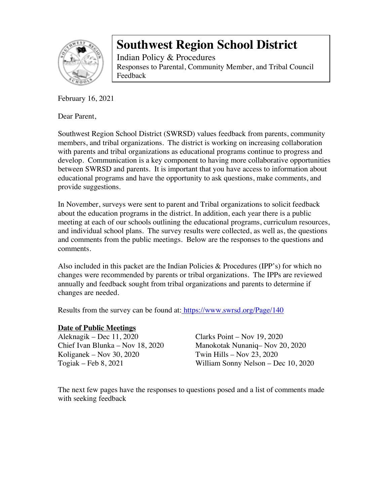

Indian Policy & Procedures Responses to Parental, Community Member, and Tribal Council Feedback

February 16, 2021

Dear Parent,

Southwest Region School District (SWRSD) values feedback from parents, community members, and tribal organizations. The district is working on increasing collaboration with parents and tribal organizations as educational programs continue to progress and develop. Communication is a key component to having more collaborative opportunities between SWRSD and parents. It is important that you have access to information about educational programs and have the opportunity to ask questions, make comments, and provide suggestions.

In November, surveys were sent to parent and Tribal organizations to solicit feedback about the education programs in the district. In addition, each year there is a public meeting at each of our schools outlining the educational programs, curriculum resources, and individual school plans. The survey results were collected, as well as, the questions and comments from the public meetings. Below are the responses to the questions and comments.

Also included in this packet are the Indian Policies & Procedures (IPP's) for which no changes were recommended by parents or tribal organizations. The IPPs are reviewed annually and feedback sought from tribal organizations and parents to determine if changes are needed.

Results from the survey can be found at: https://www.swrsd.org/Page/140

#### **Date of Public Meetings**

Aleknagik – Dec 11, 2020 Clarks Point – Nov 19, 2020 Koliganek – Nov 30, 2020 Twin Hills – Nov 23, 2020

Chief Ivan Blunka – Nov 18, 2020 Manokotak Nunaniq– Nov 20, 2020 Togiak – Feb 8, 2021 William Sonny Nelson – Dec 10, 2020

The next few pages have the responses to questions posed and a list of comments made with seeking feedback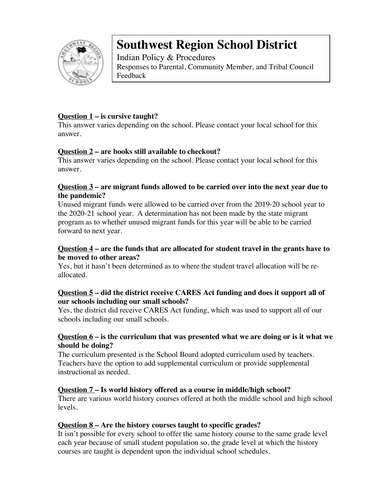

Indian Policy & Procedures Responses to Parental, Community Member, and Tribal Council Feedback

#### **Question 1 – is cursive taught?**

This answer varies depending on the school. Please contact your local school for this answer.

#### **Question 2 – are books still available to checkout?**

This answer varies depending on the school. Please contact your local school for this answer.

#### **Question 3 – are migrant funds allowed to be carried over into the next year due to the pandemic?**

Unused migrant funds were allowed to be carried over from the 2019-20 school year to the 2020-21 school year. A determination has not been made by the state migrant program as to whether unused migrant funds for this year will be able to be carried forward to next year.

#### **Question 4 – are the funds that are allocated for student travel in the grants have to be moved to other areas?**

Yes, but it hasn't been determined as to where the student travel allocation will be reallocated.

#### **Question 5 – did the district receive CARES Act funding and does it support all of our schools including our small schools?**

Yes, the district did receive CARES Act funding, which was used to support all of our schools including our small schools.

#### **Question 6 – is the curriculum that was presented what we are doing or is it what we should be doing?**

The curriculum presented is the School Board adopted curriculum used by teachers. Teachers have the option to add supplemental curriculum or provide supplemental instructional as needed.

### **Question 7 – Is world history offered as a course in middle/high school?**

There are various world history courses offered at both the middle school and high school levels.

#### **Question 8 – Are the history courses taught to specific grades?**

It isn't possible for every school to offer the same history course to the same grade level each year because of small student population so, the grade level at which the history courses are taught is dependent upon the individual school schedules.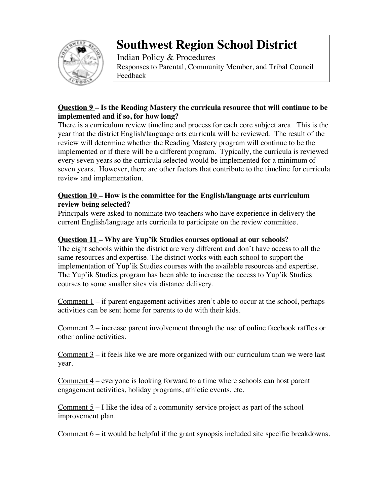

Indian Policy & Procedures Responses to Parental, Community Member, and Tribal Council Feedback

### **Question 9 – Is the Reading Mastery the curricula resource that will continue to be implemented and if so, for how long?**

There is a curriculum review timeline and process for each core subject area. This is the year that the district English/language arts curricula will be reviewed. The result of the review will determine whether the Reading Mastery program will continue to be the implemented or if there will be a different program. Typically, the curricula is reviewed every seven years so the curricula selected would be implemented for a minimum of seven years. However, there are other factors that contribute to the timeline for curricula review and implementation.

#### **Question 10 – How is the committee for the English/language arts curriculum review being selected?**

Principals were asked to nominate two teachers who have experience in delivery the current English/language arts curricula to participate on the review committee.

#### **Question 11 – Why are Yup'ik Studies courses optional at our schools?**

The eight schools within the district are very different and don't have access to all the same resources and expertise. The district works with each school to support the implementation of Yup'ik Studies courses with the available resources and expertise. The Yup'ik Studies program has been able to increase the access to Yup'ik Studies courses to some smaller sites via distance delivery.

Comment  $1 - if$  parent engagement activities aren't able to occur at the school, perhaps activities can be sent home for parents to do with their kids.

Comment 2 – increase parent involvement through the use of online facebook raffles or other online activities.

Comment 3 – it feels like we are more organized with our curriculum than we were last year.

Comment 4 – everyone is looking forward to a time where schools can host parent engagement activities, holiday programs, athletic events, etc.

Comment  $5 - I$  like the idea of a community service project as part of the school improvement plan.

Comment  $6 -$  it would be helpful if the grant synopsis included site specific breakdowns.